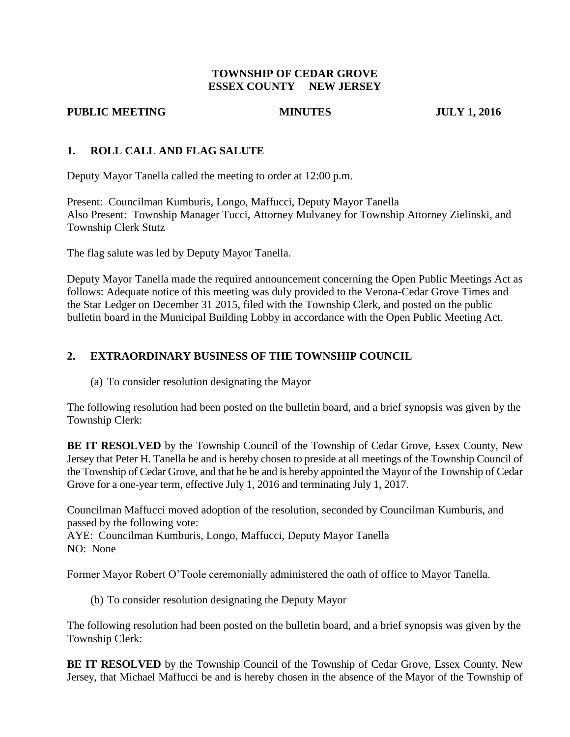## **TOWNSHIP OF CEDAR GROVE ESSEX COUNTY NEW JERSEY**

### **PUBLIC MEETING MINUTES JULY 1, 2016**

## **1. ROLL CALL AND FLAG SALUTE**

Deputy Mayor Tanella called the meeting to order at 12:00 p.m.

Present: Councilman Kumburis, Longo, Maffucci, Deputy Mayor Tanella Also Present: Township Manager Tucci, Attorney Mulvaney for Township Attorney Zielinski, and Township Clerk Stutz

The flag salute was led by Deputy Mayor Tanella.

Deputy Mayor Tanella made the required announcement concerning the Open Public Meetings Act as follows: Adequate notice of this meeting was duly provided to the Verona-Cedar Grove Times and the Star Ledger on December 31 2015, filed with the Township Clerk, and posted on the public bulletin board in the Municipal Building Lobby in accordance with the Open Public Meeting Act.

# **2. EXTRAORDINARY BUSINESS OF THE TOWNSHIP COUNCIL**

(a) To consider resolution designating the Mayor

The following resolution had been posted on the bulletin board, and a brief synopsis was given by the Township Clerk:

**BE IT RESOLVED** by the Township Council of the Township of Cedar Grove, Essex County, New Jersey that Peter H. Tanella be and is hereby chosen to preside at all meetings of the Township Council of the Township of Cedar Grove, and that he be and is hereby appointed the Mayor of the Township of Cedar Grove for a one-year term, effective July 1, 2016 and terminating July 1, 2017.

Councilman Maffucci moved adoption of the resolution, seconded by Councilman Kumburis, and passed by the following vote:

AYE: Councilman Kumburis, Longo, Maffucci, Deputy Mayor Tanella NO: None

Former Mayor Robert O'Toole ceremonially administered the oath of office to Mayor Tanella.

(b) To consider resolution designating the Deputy Mayor

The following resolution had been posted on the bulletin board, and a brief synopsis was given by the Township Clerk:

**BE IT RESOLVED** by the Township Council of the Township of Cedar Grove, Essex County, New Jersey, that Michael Maffucci be and is hereby chosen in the absence of the Mayor of the Township of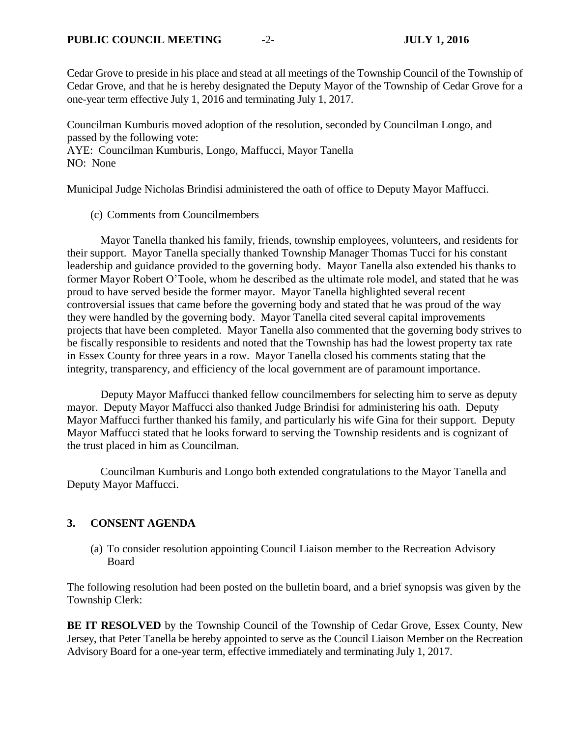Cedar Grove to preside in his place and stead at all meetings of the Township Council of the Township of Cedar Grove, and that he is hereby designated the Deputy Mayor of the Township of Cedar Grove for a one-year term effective July 1, 2016 and terminating July 1, 2017.

Councilman Kumburis moved adoption of the resolution, seconded by Councilman Longo, and passed by the following vote: AYE: Councilman Kumburis, Longo, Maffucci, Mayor Tanella

NO: None

Municipal Judge Nicholas Brindisi administered the oath of office to Deputy Mayor Maffucci.

### (c) Comments from Councilmembers

Mayor Tanella thanked his family, friends, township employees, volunteers, and residents for their support. Mayor Tanella specially thanked Township Manager Thomas Tucci for his constant leadership and guidance provided to the governing body. Mayor Tanella also extended his thanks to former Mayor Robert O'Toole, whom he described as the ultimate role model, and stated that he was proud to have served beside the former mayor. Mayor Tanella highlighted several recent controversial issues that came before the governing body and stated that he was proud of the way they were handled by the governing body. Mayor Tanella cited several capital improvements projects that have been completed. Mayor Tanella also commented that the governing body strives to be fiscally responsible to residents and noted that the Township has had the lowest property tax rate in Essex County for three years in a row. Mayor Tanella closed his comments stating that the integrity, transparency, and efficiency of the local government are of paramount importance.

Deputy Mayor Maffucci thanked fellow councilmembers for selecting him to serve as deputy mayor. Deputy Mayor Maffucci also thanked Judge Brindisi for administering his oath. Deputy Mayor Maffucci further thanked his family, and particularly his wife Gina for their support. Deputy Mayor Maffucci stated that he looks forward to serving the Township residents and is cognizant of the trust placed in him as Councilman.

Councilman Kumburis and Longo both extended congratulations to the Mayor Tanella and Deputy Mayor Maffucci.

## **3. CONSENT AGENDA**

(a) To consider resolution appointing Council Liaison member to the Recreation Advisory Board

The following resolution had been posted on the bulletin board, and a brief synopsis was given by the Township Clerk:

**BE IT RESOLVED** by the Township Council of the Township of Cedar Grove, Essex County, New Jersey, that Peter Tanella be hereby appointed to serve as the Council Liaison Member on the Recreation Advisory Board for a one-year term, effective immediately and terminating July 1, 2017.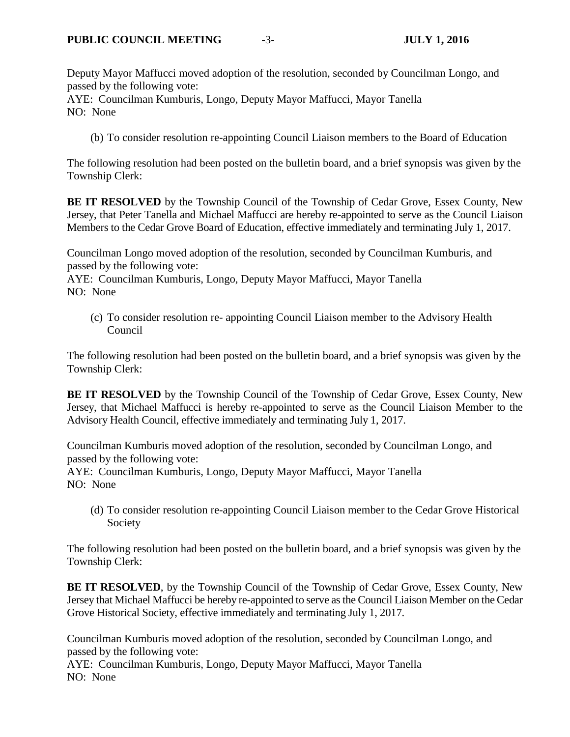Deputy Mayor Maffucci moved adoption of the resolution, seconded by Councilman Longo, and passed by the following vote:

AYE: Councilman Kumburis, Longo, Deputy Mayor Maffucci, Mayor Tanella NO: None

(b) To consider resolution re-appointing Council Liaison members to the Board of Education

The following resolution had been posted on the bulletin board, and a brief synopsis was given by the Township Clerk:

**BE IT RESOLVED** by the Township Council of the Township of Cedar Grove, Essex County, New Jersey, that Peter Tanella and Michael Maffucci are hereby re-appointed to serve as the Council Liaison Members to the Cedar Grove Board of Education, effective immediately and terminating July 1, 2017.

Councilman Longo moved adoption of the resolution, seconded by Councilman Kumburis, and passed by the following vote:

AYE: Councilman Kumburis, Longo, Deputy Mayor Maffucci, Mayor Tanella NO: None

(c) To consider resolution re- appointing Council Liaison member to the Advisory Health Council

The following resolution had been posted on the bulletin board, and a brief synopsis was given by the Township Clerk:

**BE IT RESOLVED** by the Township Council of the Township of Cedar Grove, Essex County, New Jersey, that Michael Maffucci is hereby re-appointed to serve as the Council Liaison Member to the Advisory Health Council, effective immediately and terminating July 1, 2017.

Councilman Kumburis moved adoption of the resolution, seconded by Councilman Longo, and passed by the following vote:

AYE: Councilman Kumburis, Longo, Deputy Mayor Maffucci, Mayor Tanella NO: None

(d) To consider resolution re-appointing Council Liaison member to the Cedar Grove Historical Society

The following resolution had been posted on the bulletin board, and a brief synopsis was given by the Township Clerk:

**BE IT RESOLVED**, by the Township Council of the Township of Cedar Grove, Essex County, New Jersey that Michael Maffucci be hereby re-appointed to serve as the Council Liaison Member on the Cedar Grove Historical Society, effective immediately and terminating July 1, 2017.

Councilman Kumburis moved adoption of the resolution, seconded by Councilman Longo, and passed by the following vote:

AYE: Councilman Kumburis, Longo, Deputy Mayor Maffucci, Mayor Tanella NO: None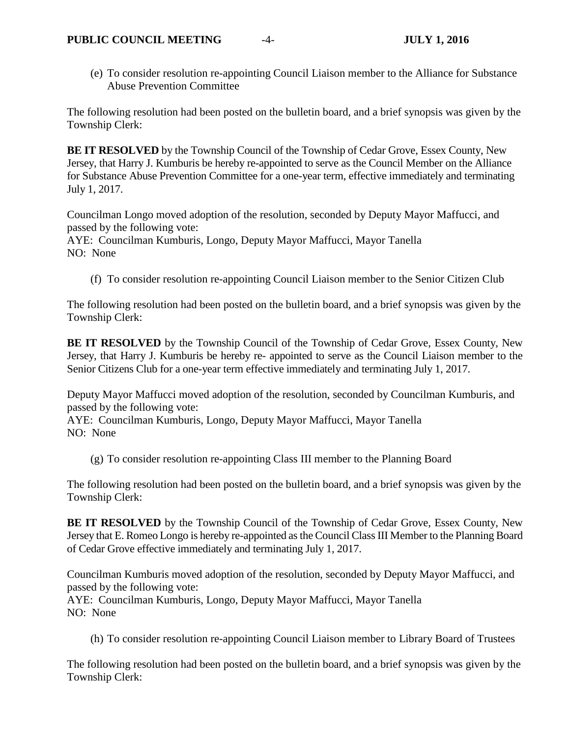(e) To consider resolution re-appointing Council Liaison member to the Alliance for Substance Abuse Prevention Committee

The following resolution had been posted on the bulletin board, and a brief synopsis was given by the Township Clerk:

**BE IT RESOLVED** by the Township Council of the Township of Cedar Grove, Essex County, New Jersey, that Harry J. Kumburis be hereby re-appointed to serve as the Council Member on the Alliance for Substance Abuse Prevention Committee for a one-year term, effective immediately and terminating July 1, 2017.

Councilman Longo moved adoption of the resolution, seconded by Deputy Mayor Maffucci, and passed by the following vote:

AYE: Councilman Kumburis, Longo, Deputy Mayor Maffucci, Mayor Tanella NO: None

(f) To consider resolution re-appointing Council Liaison member to the Senior Citizen Club

The following resolution had been posted on the bulletin board, and a brief synopsis was given by the Township Clerk:

**BE IT RESOLVED** by the Township Council of the Township of Cedar Grove, Essex County, New Jersey, that Harry J. Kumburis be hereby re- appointed to serve as the Council Liaison member to the Senior Citizens Club for a one-year term effective immediately and terminating July 1, 2017.

Deputy Mayor Maffucci moved adoption of the resolution, seconded by Councilman Kumburis, and passed by the following vote:

AYE: Councilman Kumburis, Longo, Deputy Mayor Maffucci, Mayor Tanella NO: None

(g) To consider resolution re-appointing Class III member to the Planning Board

The following resolution had been posted on the bulletin board, and a brief synopsis was given by the Township Clerk:

**BE IT RESOLVED** by the Township Council of the Township of Cedar Grove, Essex County, New Jersey that E. Romeo Longo is hereby re-appointed as the Council Class III Member to the Planning Board of Cedar Grove effective immediately and terminating July 1, 2017.

Councilman Kumburis moved adoption of the resolution, seconded by Deputy Mayor Maffucci, and passed by the following vote:

AYE: Councilman Kumburis, Longo, Deputy Mayor Maffucci, Mayor Tanella NO: None

(h) To consider resolution re-appointing Council Liaison member to Library Board of Trustees

The following resolution had been posted on the bulletin board, and a brief synopsis was given by the Township Clerk: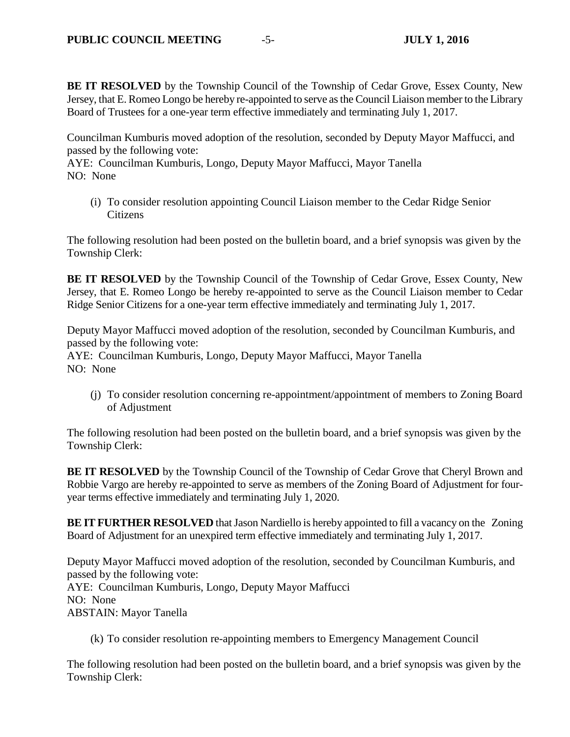**BE IT RESOLVED** by the Township Council of the Township of Cedar Grove, Essex County, New Jersey, that E. Romeo Longo be hereby re-appointed to serve as the Council Liaison member to the Library Board of Trustees for a one-year term effective immediately and terminating July 1, 2017.

Councilman Kumburis moved adoption of the resolution, seconded by Deputy Mayor Maffucci, and passed by the following vote:

AYE: Councilman Kumburis, Longo, Deputy Mayor Maffucci, Mayor Tanella NO: None

(i) To consider resolution appointing Council Liaison member to the Cedar Ridge Senior **Citizens** 

The following resolution had been posted on the bulletin board, and a brief synopsis was given by the Township Clerk:

**BE IT RESOLVED** by the Township Council of the Township of Cedar Grove, Essex County, New Jersey, that E. Romeo Longo be hereby re-appointed to serve as the Council Liaison member to Cedar Ridge Senior Citizens for a one-year term effective immediately and terminating July 1, 2017.

Deputy Mayor Maffucci moved adoption of the resolution, seconded by Councilman Kumburis, and passed by the following vote:

AYE: Councilman Kumburis, Longo, Deputy Mayor Maffucci, Mayor Tanella NO: None

(j) To consider resolution concerning re-appointment/appointment of members to Zoning Board of Adjustment

The following resolution had been posted on the bulletin board, and a brief synopsis was given by the Township Clerk:

**BE IT RESOLVED** by the Township Council of the Township of Cedar Grove that Cheryl Brown and Robbie Vargo are hereby re-appointed to serve as members of the Zoning Board of Adjustment for fouryear terms effective immediately and terminating July 1, 2020.

**BE IT FURTHER RESOLVED** that Jason Nardiello is hereby appointed to fill a vacancy on the Zoning Board of Adjustment for an unexpired term effective immediately and terminating July 1, 2017.

Deputy Mayor Maffucci moved adoption of the resolution, seconded by Councilman Kumburis, and passed by the following vote: AYE: Councilman Kumburis, Longo, Deputy Mayor Maffucci NO: None ABSTAIN: Mayor Tanella

(k) To consider resolution re-appointing members to Emergency Management Council

The following resolution had been posted on the bulletin board, and a brief synopsis was given by the Township Clerk: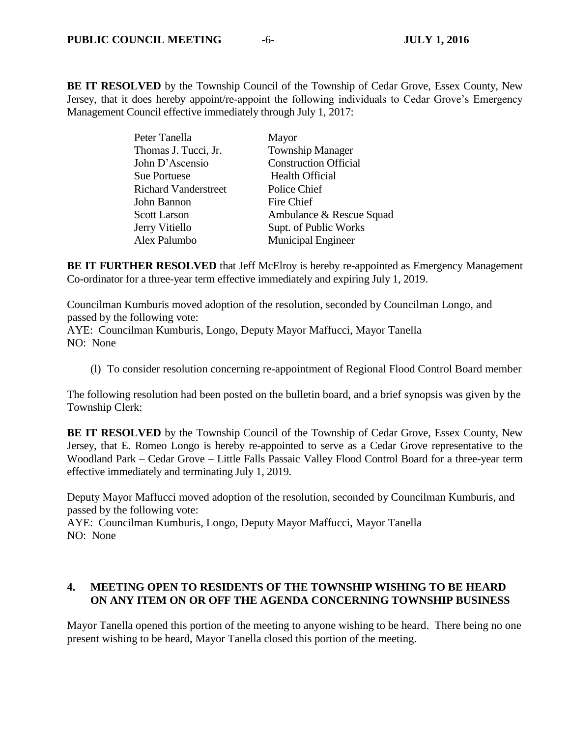**BE IT RESOLVED** by the Township Council of the Township of Cedar Grove, Essex County, New Jersey, that it does hereby appoint/re-appoint the following individuals to Cedar Grove's Emergency Management Council effective immediately through July 1, 2017:

| Mayor                        |
|------------------------------|
| <b>Township Manager</b>      |
| <b>Construction Official</b> |
| <b>Health Official</b>       |
| Police Chief                 |
| Fire Chief                   |
| Ambulance & Rescue Squad     |
| Supt. of Public Works        |
| <b>Municipal Engineer</b>    |
|                              |

**BE IT FURTHER RESOLVED** that Jeff McElroy is hereby re-appointed as Emergency Management Co-ordinator for a three-year term effective immediately and expiring July 1, 2019.

Councilman Kumburis moved adoption of the resolution, seconded by Councilman Longo, and passed by the following vote:

AYE: Councilman Kumburis, Longo, Deputy Mayor Maffucci, Mayor Tanella NO: None

(l) To consider resolution concerning re-appointment of Regional Flood Control Board member

The following resolution had been posted on the bulletin board, and a brief synopsis was given by the Township Clerk:

**BE IT RESOLVED** by the Township Council of the Township of Cedar Grove, Essex County, New Jersey, that E. Romeo Longo is hereby re-appointed to serve as a Cedar Grove representative to the Woodland Park – Cedar Grove – Little Falls Passaic Valley Flood Control Board for a three-year term effective immediately and terminating July 1, 2019.

Deputy Mayor Maffucci moved adoption of the resolution, seconded by Councilman Kumburis, and passed by the following vote:

AYE: Councilman Kumburis, Longo, Deputy Mayor Maffucci, Mayor Tanella NO: None

# **4. MEETING OPEN TO RESIDENTS OF THE TOWNSHIP WISHING TO BE HEARD ON ANY ITEM ON OR OFF THE AGENDA CONCERNING TOWNSHIP BUSINESS**

Mayor Tanella opened this portion of the meeting to anyone wishing to be heard. There being no one present wishing to be heard, Mayor Tanella closed this portion of the meeting.